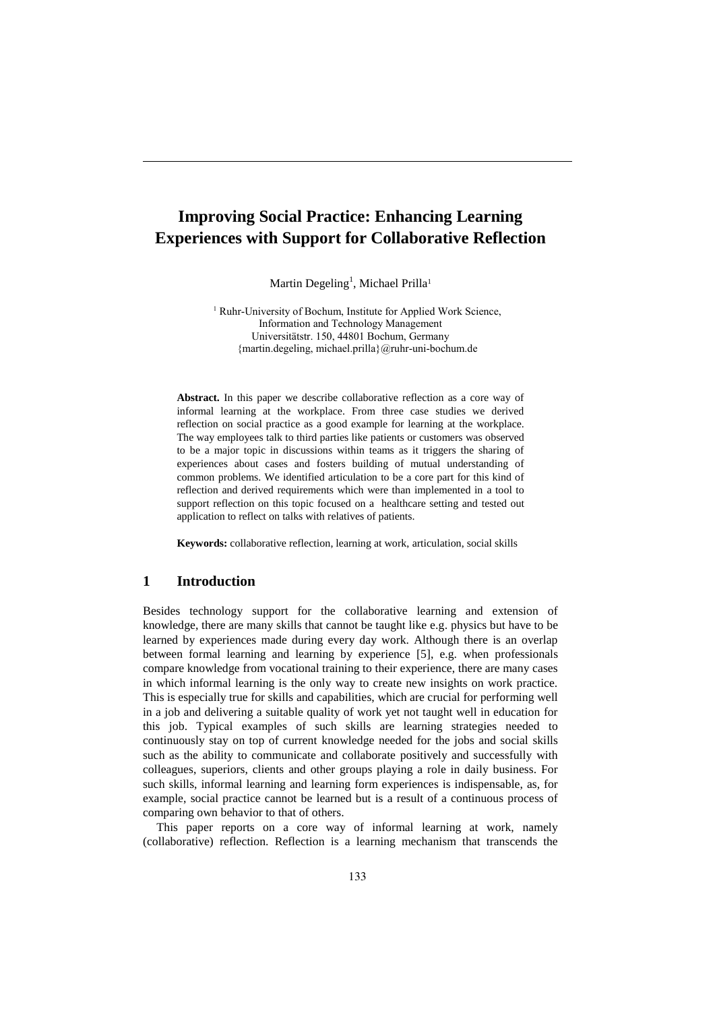# **Improving Social Practice: Enhancing Learning Experiences with Support for Collaborative Reflection**

Martin Degeling<sup>1</sup>, Michael Prilla<sup>1</sup>

<sup>1</sup> Ruhr-University of Bochum, Institute for Applied Work Science, Information and Technology Management Universitätstr. 150, 44801 Bochum, Germany {martin.degeling, michael.prilla}@ruhr-uni-bochum.de

**Abstract.** In this paper we describe collaborative reflection as a core way of informal learning at the workplace. From three case studies we derived reflection on social practice as a good example for learning at the workplace. The way employees talk to third parties like patients or customers was observed to be a major topic in discussions within teams as it triggers the sharing of experiences about cases and fosters building of mutual understanding of common problems. We identified articulation to be a core part for this kind of reflection and derived requirements which were than implemented in a tool to support reflection on this topic focused on a healthcare setting and tested out application to reflect on talks with relatives of patients.

**Keywords:** collaborative reflection, learning at work, articulation, social skills

## **1 Introduction**

Besides technology support for the collaborative learning and extension of knowledge, there are many skills that cannot be taught like e.g. physics but have to be learned by experiences made during every day work. Although there is an overlap between formal learning and learning by experience [5], e.g. when professionals compare knowledge from vocational training to their experience, there are many cases in which informal learning is the only way to create new insights on work practice. This is especially true for skills and capabilities, which are crucial for performing well in a job and delivering a suitable quality of work yet not taught well in education for this job. Typical examples of such skills are learning strategies needed to continuously stay on top of current knowledge needed for the jobs and social skills such as the ability to communicate and collaborate positively and successfully with colleagues, superiors, clients and other groups playing a role in daily business. For such skills, informal learning and learning form experiences is indispensable, as, for example, social practice cannot be learned but is a result of a continuous process of comparing own behavior to that of others.

This paper reports on a core way of informal learning at work, namely (collaborative) reflection. Reflection is a learning mechanism that transcends the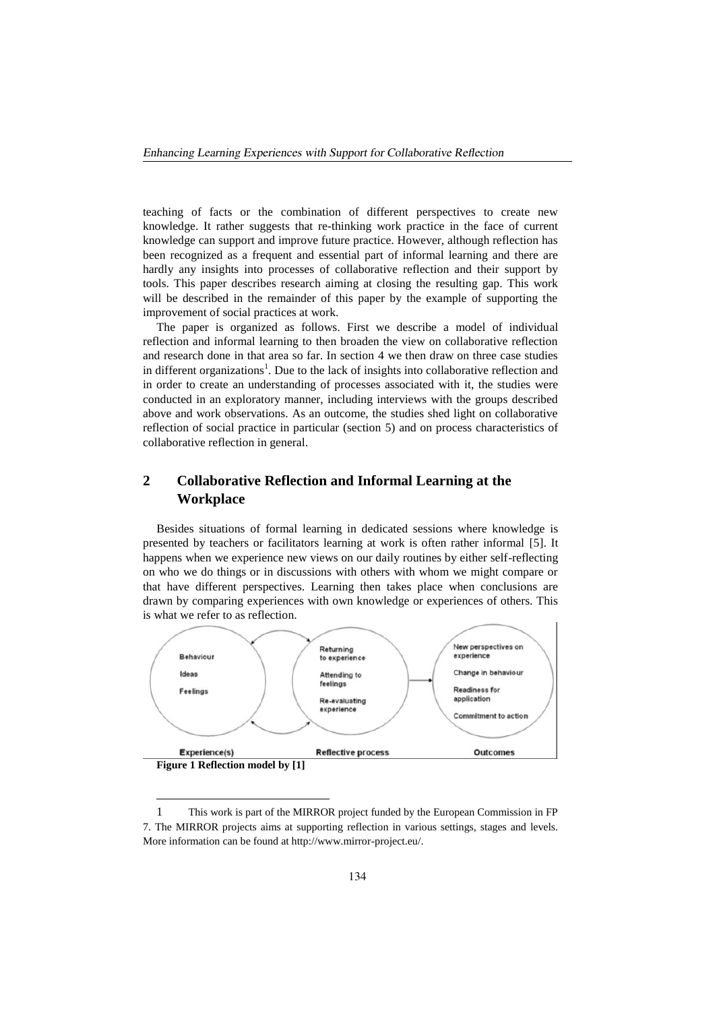teaching of facts or the combination of different perspectives to create new knowledge. It rather suggests that re-thinking work practice in the face of current knowledge can support and improve future practice. However, although reflection has been recognized as a frequent and essential part of informal learning and there are hardly any insights into processes of collaborative reflection and their support by tools. This paper describes research aiming at closing the resulting gap. This work will be described in the remainder of this paper by the example of supporting the improvement of social practices at work.

The paper is organized as follows. First we describe a model of individual reflection and informal learning to then broaden the view on collaborative reflection and research done in that area so far. In section 4 we then draw on three case studies in different organizations<sup>1</sup>. Due to the lack of insights into collaborative reflection and in order to create an understanding of processes associated with it, the studies were conducted in an exploratory manner, including interviews with the groups described above and work observations. As an outcome, the studies shed light on collaborative reflection of social practice in particular (section 5) and on process characteristics of collaborative reflection in general.

## **2 Collaborative Reflection and Informal Learning at the Workplace**

Besides situations of formal learning in dedicated sessions where knowledge is presented by teachers or facilitators learning at work is often rather informal [5]. It happens when we experience new views on our daily routines by either self-reflecting on who we do things or in discussions with others with whom we might compare or that have different perspectives. Learning then takes place when conclusions are drawn by comparing experiences with own knowledge or experiences of others. This is what we refer to as reflection.



**Figure 1 Reflection model by [1]**

1

<sup>1</sup> This work is part of the MIRROR project funded by the European Commission in FP 7. The MIRROR projects aims at supporting reflection in various settings, stages and levels. More information can be found at http://www.mirror-project.eu/.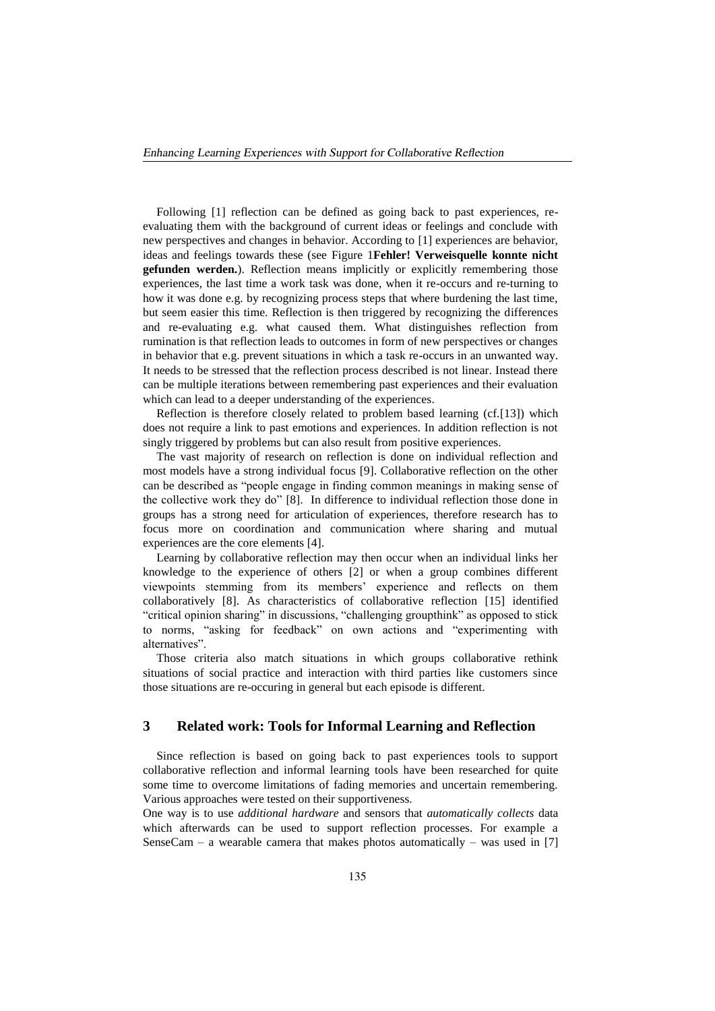Following [1] reflection can be defined as going back to past experiences, reevaluating them with the background of current ideas or feelings and conclude with new perspectives and changes in behavior. According to [1] experiences are behavior, ideas and feelings towards these (see Figure 1**Fehler! Verweisquelle konnte nicht gefunden werden.**). Reflection means implicitly or explicitly remembering those experiences, the last time a work task was done, when it re-occurs and re-turning to how it was done e.g. by recognizing process steps that where burdening the last time, but seem easier this time. Reflection is then triggered by recognizing the differences and re-evaluating e.g. what caused them. What distinguishes reflection from rumination is that reflection leads to outcomes in form of new perspectives or changes in behavior that e.g. prevent situations in which a task re-occurs in an unwanted way. It needs to be stressed that the reflection process described is not linear. Instead there can be multiple iterations between remembering past experiences and their evaluation which can lead to a deeper understanding of the experiences.

Reflection is therefore closely related to problem based learning (cf.[13]) which does not require a link to past emotions and experiences. In addition reflection is not singly triggered by problems but can also result from positive experiences.

The vast majority of research on reflection is done on individual reflection and most models have a strong individual focus [9]. Collaborative reflection on the other can be described as "people engage in finding common meanings in making sense of the collective work they do" [8]. In difference to individual reflection those done in groups has a strong need for articulation of experiences, therefore research has to focus more on coordination and communication where sharing and mutual experiences are the core elements [4].

Learning by collaborative reflection may then occur when an individual links her knowledge to the experience of others [2] or when a group combines different viewpoints stemming from its members' experience and reflects on them collaboratively [8]. As characteristics of collaborative reflection [15] identified "critical opinion sharing" in discussions, "challenging groupthink" as opposed to stick to norms, "asking for feedback" on own actions and "experimenting with alternatives".

Those criteria also match situations in which groups collaborative rethink situations of social practice and interaction with third parties like customers since those situations are re-occuring in general but each episode is different.

### **3 Related work: Tools for Informal Learning and Reflection**

Since reflection is based on going back to past experiences tools to support collaborative reflection and informal learning tools have been researched for quite some time to overcome limitations of fading memories and uncertain remembering. Various approaches were tested on their supportiveness.

One way is to use *additional hardware* and sensors that *automatically collects* data which afterwards can be used to support reflection processes. For example a SenseCam – a wearable camera that makes photos automatically – was used in [7]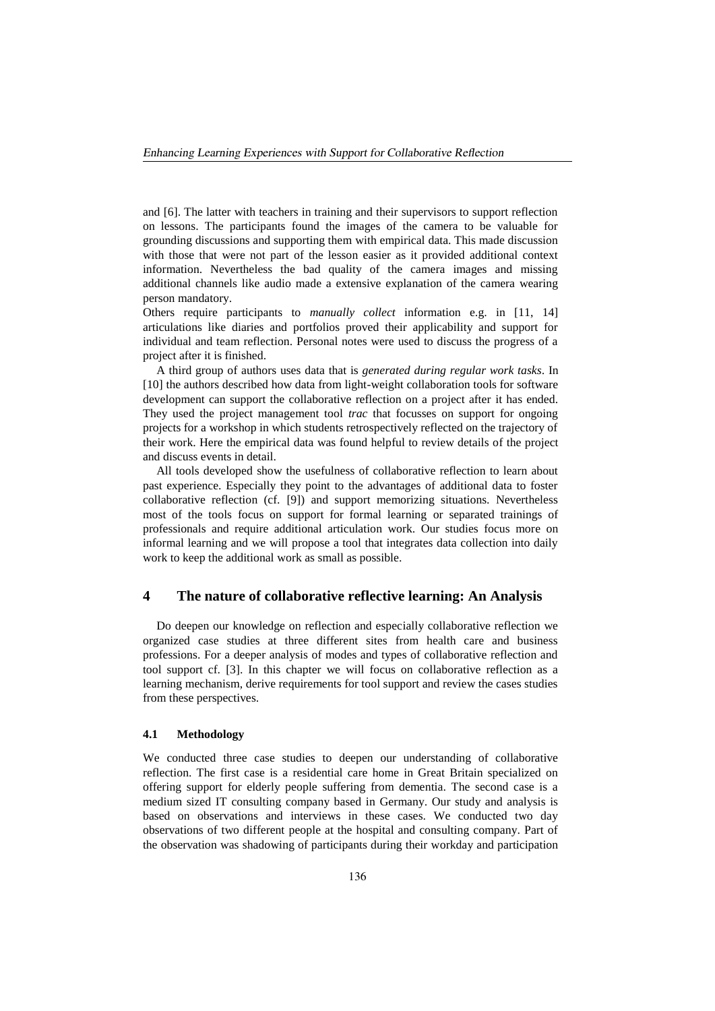and [6]. The latter with teachers in training and their supervisors to support reflection on lessons. The participants found the images of the camera to be valuable for grounding discussions and supporting them with empirical data. This made discussion with those that were not part of the lesson easier as it provided additional context information. Nevertheless the bad quality of the camera images and missing additional channels like audio made a extensive explanation of the camera wearing person mandatory.

Others require participants to *manually collect* information e.g. in [11, 14] articulations like diaries and portfolios proved their applicability and support for individual and team reflection. Personal notes were used to discuss the progress of a project after it is finished.

A third group of authors uses data that is *generated during regular work tasks*. In [10] the authors described how data from light-weight collaboration tools for software development can support the collaborative reflection on a project after it has ended. They used the project management tool *trac* that focusses on support for ongoing projects for a workshop in which students retrospectively reflected on the trajectory of their work. Here the empirical data was found helpful to review details of the project and discuss events in detail.

All tools developed show the usefulness of collaborative reflection to learn about past experience. Especially they point to the advantages of additional data to foster collaborative reflection (cf. [9]) and support memorizing situations. Nevertheless most of the tools focus on support for formal learning or separated trainings of professionals and require additional articulation work. Our studies focus more on informal learning and we will propose a tool that integrates data collection into daily work to keep the additional work as small as possible.

## **4 The nature of collaborative reflective learning: An Analysis**

Do deepen our knowledge on reflection and especially collaborative reflection we organized case studies at three different sites from health care and business professions. For a deeper analysis of modes and types of collaborative reflection and tool support cf. [3]. In this chapter we will focus on collaborative reflection as a learning mechanism, derive requirements for tool support and review the cases studies from these perspectives.

#### **4.1 Methodology**

We conducted three case studies to deepen our understanding of collaborative reflection. The first case is a residential care home in Great Britain specialized on offering support for elderly people suffering from dementia. The second case is a medium sized IT consulting company based in Germany. Our study and analysis is based on observations and interviews in these cases. We conducted two day observations of two different people at the hospital and consulting company. Part of the observation was shadowing of participants during their workday and participation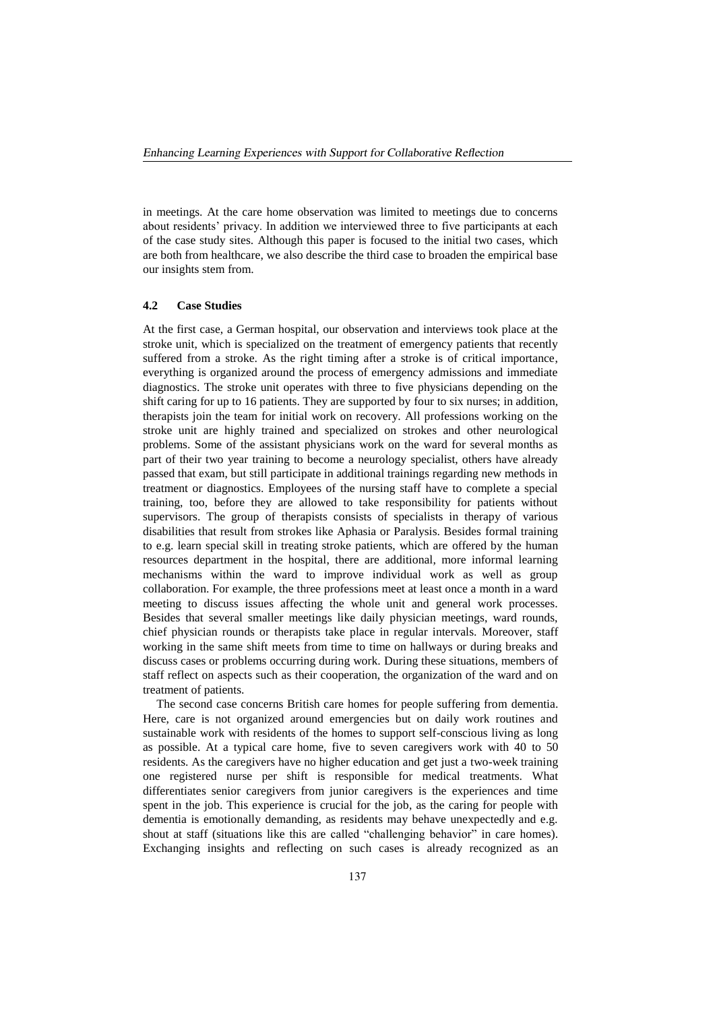in meetings. At the care home observation was limited to meetings due to concerns about residents' privacy. In addition we interviewed three to five participants at each of the case study sites. Although this paper is focused to the initial two cases, which are both from healthcare, we also describe the third case to broaden the empirical base our insights stem from.

#### **4.2 Case Studies**

At the first case, a German hospital, our observation and interviews took place at the stroke unit, which is specialized on the treatment of emergency patients that recently suffered from a stroke. As the right timing after a stroke is of critical importance, everything is organized around the process of emergency admissions and immediate diagnostics. The stroke unit operates with three to five physicians depending on the shift caring for up to 16 patients. They are supported by four to six nurses; in addition, therapists join the team for initial work on recovery. All professions working on the stroke unit are highly trained and specialized on strokes and other neurological problems. Some of the assistant physicians work on the ward for several months as part of their two year training to become a neurology specialist, others have already passed that exam, but still participate in additional trainings regarding new methods in treatment or diagnostics. Employees of the nursing staff have to complete a special training, too, before they are allowed to take responsibility for patients without supervisors. The group of therapists consists of specialists in therapy of various disabilities that result from strokes like Aphasia or Paralysis. Besides formal training to e.g. learn special skill in treating stroke patients, which are offered by the human resources department in the hospital, there are additional, more informal learning mechanisms within the ward to improve individual work as well as group collaboration. For example, the three professions meet at least once a month in a ward meeting to discuss issues affecting the whole unit and general work processes. Besides that several smaller meetings like daily physician meetings, ward rounds, chief physician rounds or therapists take place in regular intervals. Moreover, staff working in the same shift meets from time to time on hallways or during breaks and discuss cases or problems occurring during work. During these situations, members of staff reflect on aspects such as their cooperation, the organization of the ward and on treatment of patients.

The second case concerns British care homes for people suffering from dementia. Here, care is not organized around emergencies but on daily work routines and sustainable work with residents of the homes to support self-conscious living as long as possible. At a typical care home, five to seven caregivers work with 40 to 50 residents. As the caregivers have no higher education and get just a two-week training one registered nurse per shift is responsible for medical treatments. What differentiates senior caregivers from junior caregivers is the experiences and time spent in the job. This experience is crucial for the job, as the caring for people with dementia is emotionally demanding, as residents may behave unexpectedly and e.g. shout at staff (situations like this are called "challenging behavior" in care homes). Exchanging insights and reflecting on such cases is already recognized as an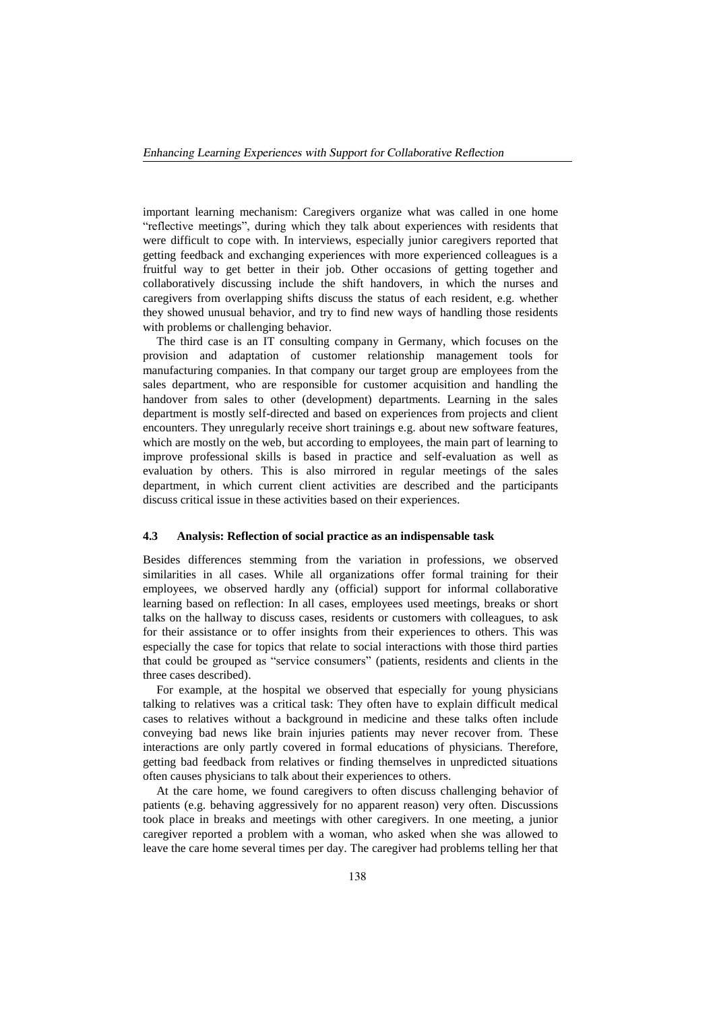important learning mechanism: Caregivers organize what was called in one home "reflective meetings", during which they talk about experiences with residents that were difficult to cope with. In interviews, especially junior caregivers reported that getting feedback and exchanging experiences with more experienced colleagues is a fruitful way to get better in their job. Other occasions of getting together and collaboratively discussing include the shift handovers, in which the nurses and caregivers from overlapping shifts discuss the status of each resident, e.g. whether they showed unusual behavior, and try to find new ways of handling those residents with problems or challenging behavior.

The third case is an IT consulting company in Germany, which focuses on the provision and adaptation of customer relationship management tools for manufacturing companies. In that company our target group are employees from the sales department, who are responsible for customer acquisition and handling the handover from sales to other (development) departments. Learning in the sales department is mostly self-directed and based on experiences from projects and client encounters. They unregularly receive short trainings e.g. about new software features, which are mostly on the web, but according to employees, the main part of learning to improve professional skills is based in practice and self-evaluation as well as evaluation by others. This is also mirrored in regular meetings of the sales department, in which current client activities are described and the participants discuss critical issue in these activities based on their experiences.

#### **4.3 Analysis: Reflection of social practice as an indispensable task**

Besides differences stemming from the variation in professions, we observed similarities in all cases. While all organizations offer formal training for their employees, we observed hardly any (official) support for informal collaborative learning based on reflection: In all cases, employees used meetings, breaks or short talks on the hallway to discuss cases, residents or customers with colleagues, to ask for their assistance or to offer insights from their experiences to others. This was especially the case for topics that relate to social interactions with those third parties that could be grouped as "service consumers" (patients, residents and clients in the three cases described).

For example, at the hospital we observed that especially for young physicians talking to relatives was a critical task: They often have to explain difficult medical cases to relatives without a background in medicine and these talks often include conveying bad news like brain injuries patients may never recover from. These interactions are only partly covered in formal educations of physicians. Therefore, getting bad feedback from relatives or finding themselves in unpredicted situations often causes physicians to talk about their experiences to others.

At the care home, we found caregivers to often discuss challenging behavior of patients (e.g. behaving aggressively for no apparent reason) very often. Discussions took place in breaks and meetings with other caregivers. In one meeting, a junior caregiver reported a problem with a woman, who asked when she was allowed to leave the care home several times per day. The caregiver had problems telling her that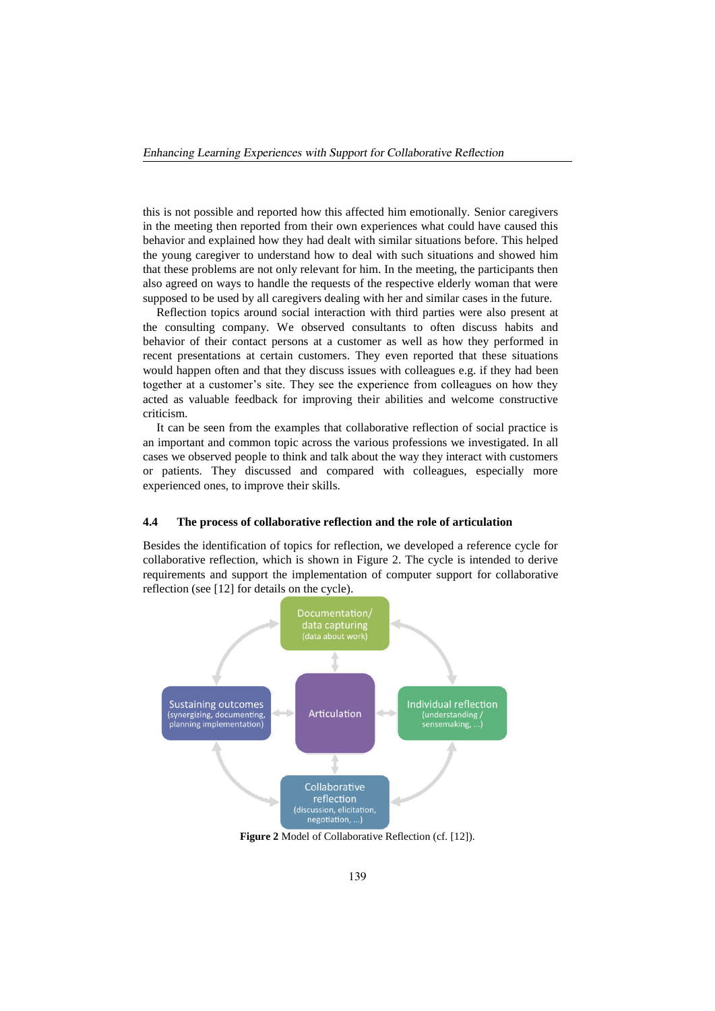this is not possible and reported how this affected him emotionally. Senior caregivers in the meeting then reported from their own experiences what could have caused this behavior and explained how they had dealt with similar situations before. This helped the young caregiver to understand how to deal with such situations and showed him that these problems are not only relevant for him. In the meeting, the participants then also agreed on ways to handle the requests of the respective elderly woman that were supposed to be used by all caregivers dealing with her and similar cases in the future.

Reflection topics around social interaction with third parties were also present at the consulting company. We observed consultants to often discuss habits and behavior of their contact persons at a customer as well as how they performed in recent presentations at certain customers. They even reported that these situations would happen often and that they discuss issues with colleagues e.g. if they had been together at a customer's site. They see the experience from colleagues on how they acted as valuable feedback for improving their abilities and welcome constructive criticism.

It can be seen from the examples that collaborative reflection of social practice is an important and common topic across the various professions we investigated. In all cases we observed people to think and talk about the way they interact with customers or patients. They discussed and compared with colleagues, especially more experienced ones, to improve their skills.

#### **4.4 The process of collaborative reflection and the role of articulation**

Besides the identification of topics for reflection, we developed a reference cycle for collaborative reflection, which is shown in Figure 2. The cycle is intended to derive requirements and support the implementation of computer support for collaborative reflection (see [12] for details on the cycle).



**Figure 2** Model of Collaborative Reflection (cf. [12]).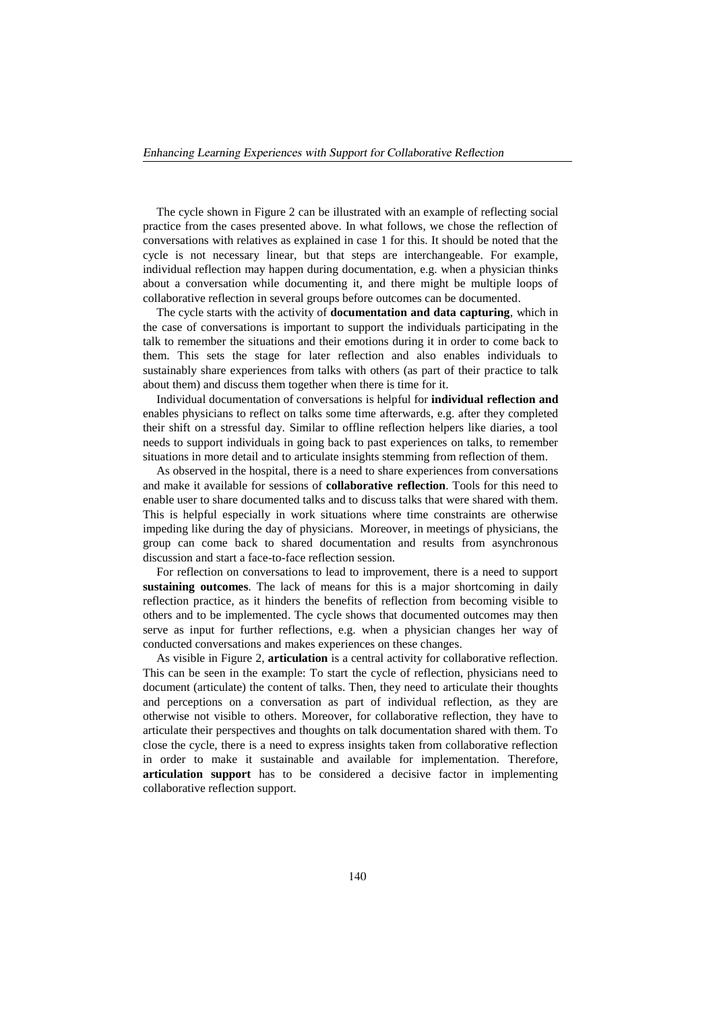The cycle shown in Figure 2 can be illustrated with an example of reflecting social practice from the cases presented above. In what follows, we chose the reflection of conversations with relatives as explained in case 1 for this. It should be noted that the cycle is not necessary linear, but that steps are interchangeable. For example, individual reflection may happen during documentation, e.g. when a physician thinks about a conversation while documenting it, and there might be multiple loops of collaborative reflection in several groups before outcomes can be documented.

The cycle starts with the activity of **documentation and data capturing**, which in the case of conversations is important to support the individuals participating in the talk to remember the situations and their emotions during it in order to come back to them. This sets the stage for later reflection and also enables individuals to sustainably share experiences from talks with others (as part of their practice to talk about them) and discuss them together when there is time for it.

Individual documentation of conversations is helpful for **individual reflection and**  enables physicians to reflect on talks some time afterwards, e.g. after they completed their shift on a stressful day. Similar to offline reflection helpers like diaries, a tool needs to support individuals in going back to past experiences on talks, to remember situations in more detail and to articulate insights stemming from reflection of them.

As observed in the hospital, there is a need to share experiences from conversations and make it available for sessions of **collaborative reflection**. Tools for this need to enable user to share documented talks and to discuss talks that were shared with them. This is helpful especially in work situations where time constraints are otherwise impeding like during the day of physicians. Moreover, in meetings of physicians, the group can come back to shared documentation and results from asynchronous discussion and start a face-to-face reflection session.

For reflection on conversations to lead to improvement, there is a need to support **sustaining outcomes**. The lack of means for this is a major shortcoming in daily reflection practice, as it hinders the benefits of reflection from becoming visible to others and to be implemented. The cycle shows that documented outcomes may then serve as input for further reflections, e.g. when a physician changes her way of conducted conversations and makes experiences on these changes.

As visible in Figure 2, **articulation** is a central activity for collaborative reflection. This can be seen in the example: To start the cycle of reflection, physicians need to document (articulate) the content of talks. Then, they need to articulate their thoughts and perceptions on a conversation as part of individual reflection, as they are otherwise not visible to others. Moreover, for collaborative reflection, they have to articulate their perspectives and thoughts on talk documentation shared with them. To close the cycle, there is a need to express insights taken from collaborative reflection in order to make it sustainable and available for implementation. Therefore, **articulation support** has to be considered a decisive factor in implementing collaborative reflection support.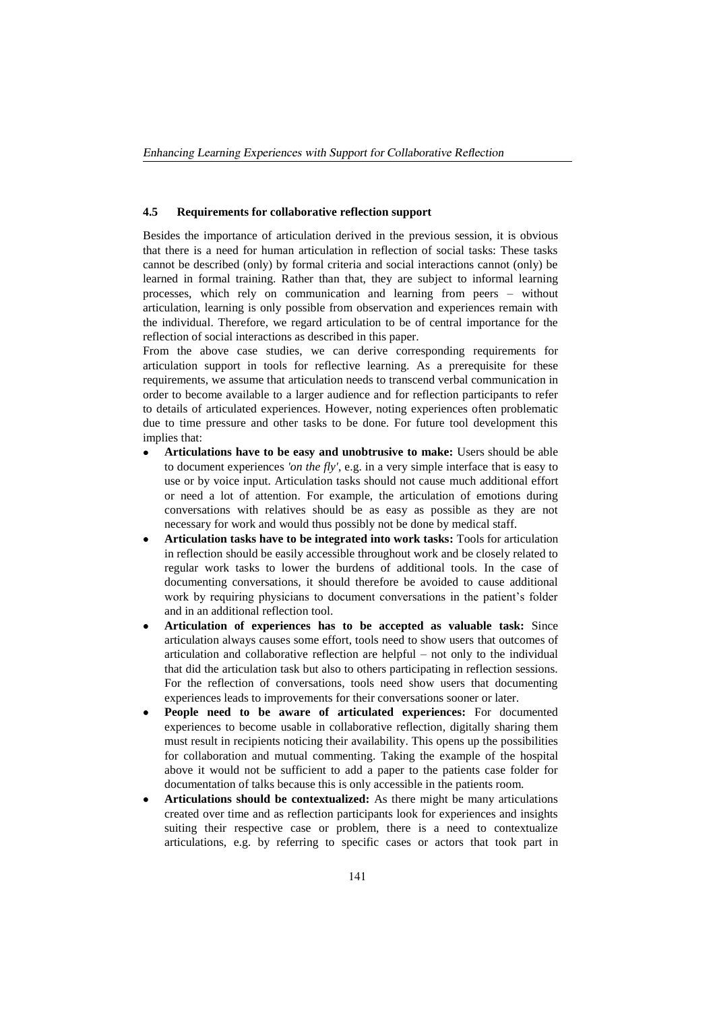#### **4.5 Requirements for collaborative reflection support**

Besides the importance of articulation derived in the previous session, it is obvious that there is a need for human articulation in reflection of social tasks: These tasks cannot be described (only) by formal criteria and social interactions cannot (only) be learned in formal training. Rather than that, they are subject to informal learning processes, which rely on communication and learning from peers – without articulation, learning is only possible from observation and experiences remain with the individual. Therefore, we regard articulation to be of central importance for the reflection of social interactions as described in this paper.

From the above case studies, we can derive corresponding requirements for articulation support in tools for reflective learning. As a prerequisite for these requirements, we assume that articulation needs to transcend verbal communication in order to become available to a larger audience and for reflection participants to refer to details of articulated experiences. However, noting experiences often problematic due to time pressure and other tasks to be done. For future tool development this implies that:

- **Articulations have to be easy and unobtrusive to make:** Users should be able to document experiences *'on the fly'*, e.g. in a very simple interface that is easy to use or by voice input. Articulation tasks should not cause much additional effort or need a lot of attention. For example, the articulation of emotions during conversations with relatives should be as easy as possible as they are not necessary for work and would thus possibly not be done by medical staff.
- **Articulation tasks have to be integrated into work tasks:** Tools for articulation in reflection should be easily accessible throughout work and be closely related to regular work tasks to lower the burdens of additional tools. In the case of documenting conversations, it should therefore be avoided to cause additional work by requiring physicians to document conversations in the patient's folder and in an additional reflection tool.
- **Articulation of experiences has to be accepted as valuable task:** Since articulation always causes some effort, tools need to show users that outcomes of articulation and collaborative reflection are helpful – not only to the individual that did the articulation task but also to others participating in reflection sessions. For the reflection of conversations, tools need show users that documenting experiences leads to improvements for their conversations sooner or later.
- **People need to be aware of articulated experiences:** For documented experiences to become usable in collaborative reflection, digitally sharing them must result in recipients noticing their availability. This opens up the possibilities for collaboration and mutual commenting. Taking the example of the hospital above it would not be sufficient to add a paper to the patients case folder for documentation of talks because this is only accessible in the patients room.
- **Articulations should be contextualized:** As there might be many articulations created over time and as reflection participants look for experiences and insights suiting their respective case or problem, there is a need to contextualize articulations, e.g. by referring to specific cases or actors that took part in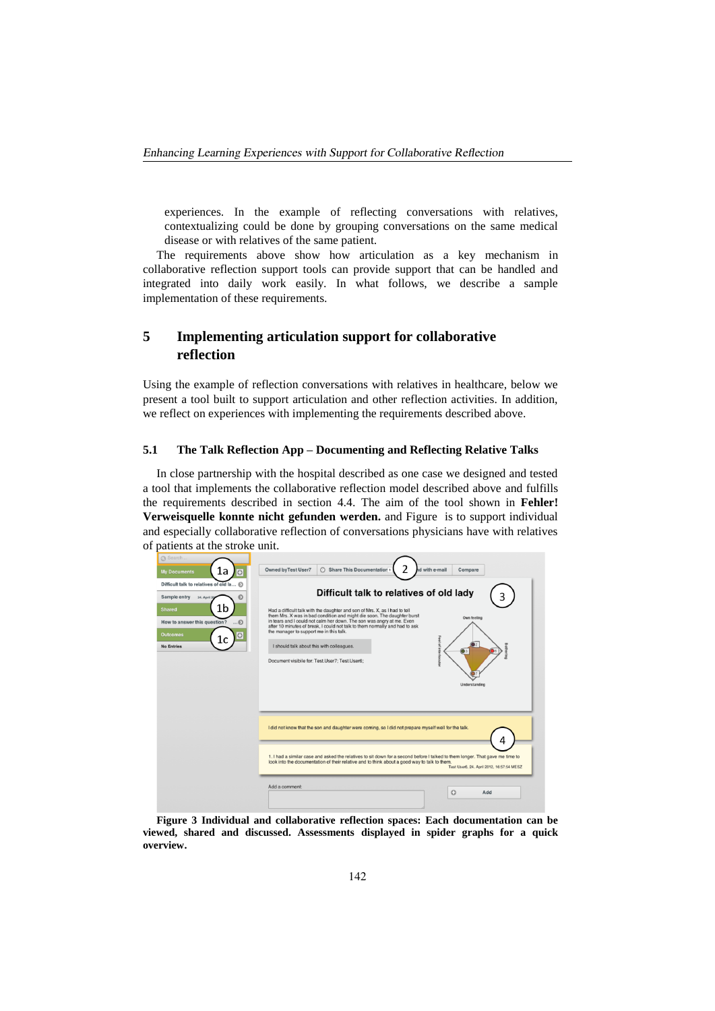experiences. In the example of reflecting conversations with relatives, contextualizing could be done by grouping conversations on the same medical disease or with relatives of the same patient.

The requirements above show how articulation as a key mechanism in collaborative reflection support tools can provide support that can be handled and integrated into daily work easily. In what follows, we describe a sample implementation of these requirements.

## **5 Implementing articulation support for collaborative reflection**

Using the example of reflection conversations with relatives in healthcare, below we present a tool built to support articulation and other reflection activities. In addition, we reflect on experiences with implementing the requirements described above.

### **5.1 The Talk Reflection App – Documenting and Reflecting Relative Talks**

In close partnership with the hospital described as one case we designed and tested a tool that implements the collaborative reflection model described above and fulfills the requirements described in section 4.4. The aim of the tool shown in **Fehler! Verweisquelle konnte nicht gefunden werden.** and Figure is to support individual and especially collaborative reflection of conversations physicians have with relatives of patients at the stroke unit.

| Search.                                                                                                                                                            |                                                                                                                                                                                                                                                                                                                                                                                                                                                                                                                      |
|--------------------------------------------------------------------------------------------------------------------------------------------------------------------|----------------------------------------------------------------------------------------------------------------------------------------------------------------------------------------------------------------------------------------------------------------------------------------------------------------------------------------------------------------------------------------------------------------------------------------------------------------------------------------------------------------------|
| 1a<br><b>My Documents</b><br>$\circ$                                                                                                                               | <b>Owned byTest User7</b><br>Share This Documentation 1<br>d with e-mail<br>Compare                                                                                                                                                                                                                                                                                                                                                                                                                                  |
| Difficult talk to relatives of old la 5                                                                                                                            | Difficult talk to relatives of old lady                                                                                                                                                                                                                                                                                                                                                                                                                                                                              |
| Sample entry<br>24. April 20<br>1b<br><b>Shared</b><br>How to answer this question?<br>$\dots$<br>$\odot$<br><b>Outcomes</b><br>$\circ$<br>ïС<br><b>No Entries</b> | 3<br>Had a difficult talk with the daughter and son of Mrs. X, as I had to tell<br>them Mrs. X was in bad condition and might die soon. The daughter burst<br>Own feeling<br>in tears and I could not calm her down. The son was angry at me. Even<br>after 10 minutes of break. I could not talk to them normally and had to ask<br>the manager to support me in this talk.<br>Feel of interlocutor<br>I should talk about this with colleagues.<br>Document visibile for: Test.User7: Test.User6:<br>Understanding |
|                                                                                                                                                                    | I did not know that the son and daughter were coming, so I did not prepare myself well for the talk.                                                                                                                                                                                                                                                                                                                                                                                                                 |
|                                                                                                                                                                    | 1. I had a similar case and asked the relatives to sit down for a second before I talked to them longer. That gave me time to<br>look into the documentation of their relative and to think about a good way to talk to them.<br>Test User6, 24. April 2012, 16:57:54 MESZ                                                                                                                                                                                                                                           |
|                                                                                                                                                                    | Add a comment:<br>$\circ$<br>Add                                                                                                                                                                                                                                                                                                                                                                                                                                                                                     |

**Figure 3 Individual and collaborative reflection spaces: Each documentation can be viewed, shared and discussed. Assessments displayed in spider graphs for a quick overview.**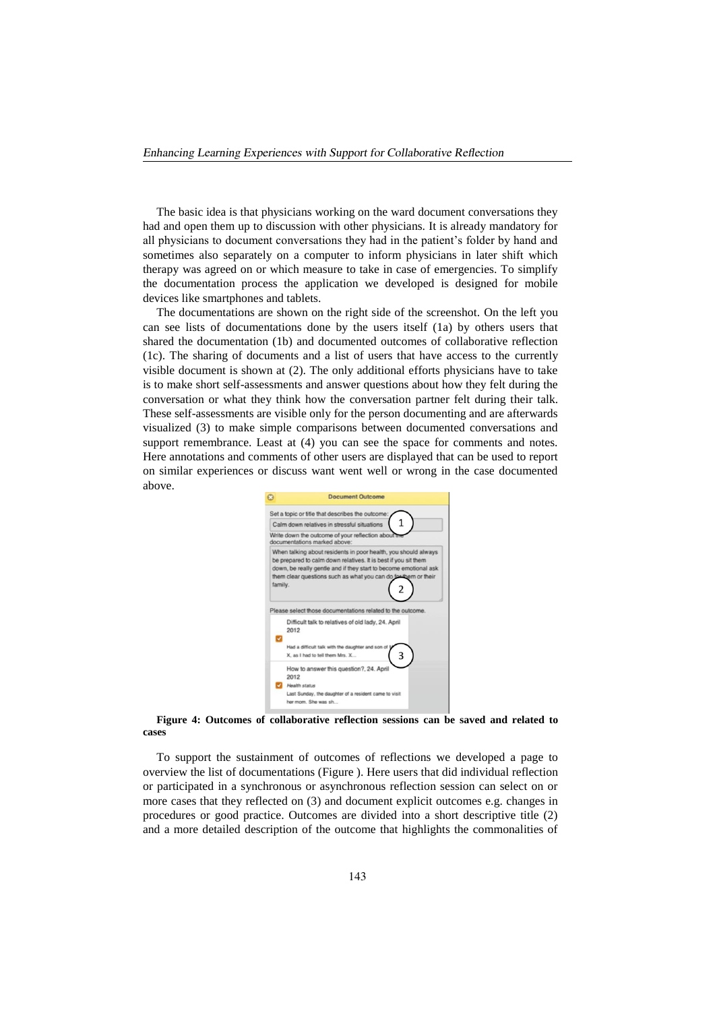The basic idea is that physicians working on the ward document conversations they had and open them up to discussion with other physicians. It is already mandatory for all physicians to document conversations they had in the patient's folder by hand and sometimes also separately on a computer to inform physicians in later shift which therapy was agreed on or which measure to take in case of emergencies. To simplify the documentation process the application we developed is designed for mobile devices like smartphones and tablets.

The documentations are shown on the right side of the screenshot. On the left you can see lists of documentations done by the users itself (1a) by others users that shared the documentation (1b) and documented outcomes of collaborative reflection (1c). The sharing of documents and a list of users that have access to the currently visible document is shown at (2). The only additional efforts physicians have to take is to make short self-assessments and answer questions about how they felt during the conversation or what they think how the conversation partner felt during their talk. These self-assessments are visible only for the person documenting and are afterwards visualized (3) to make simple comparisons between documented conversations and support remembrance. Least at (4) you can see the space for comments and notes. Here annotations and comments of other users are displayed that can be used to report on similar experiences or discuss want went well or wrong in the case documented above.



**Figure 4: Outcomes of collaborative reflection sessions can be saved and related to cases**

To support the sustainment of outcomes of reflections we developed a page to overview the list of documentations (Figure ). Here users that did individual reflection or participated in a synchronous or asynchronous reflection session can select on or more cases that they reflected on (3) and document explicit outcomes e.g. changes in procedures or good practice. Outcomes are divided into a short descriptive title (2) and a more detailed description of the outcome that highlights the commonalities of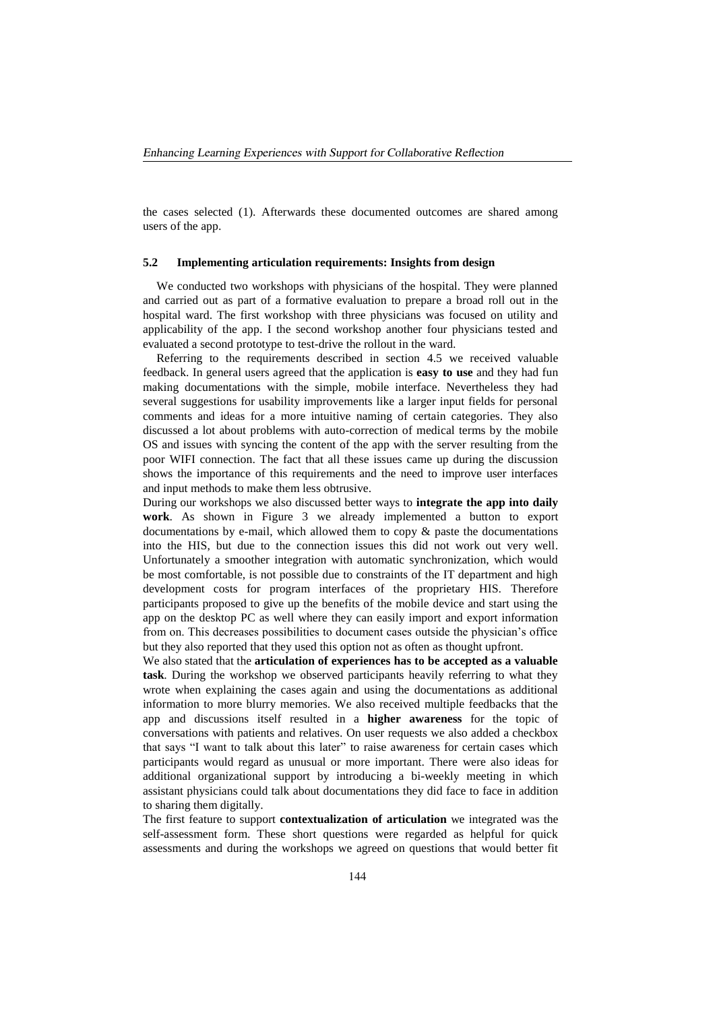the cases selected (1). Afterwards these documented outcomes are shared among users of the app.

#### **5.2 Implementing articulation requirements: Insights from design**

We conducted two workshops with physicians of the hospital. They were planned and carried out as part of a formative evaluation to prepare a broad roll out in the hospital ward. The first workshop with three physicians was focused on utility and applicability of the app. I the second workshop another four physicians tested and evaluated a second prototype to test-drive the rollout in the ward.

Referring to the requirements described in section 4.5 we received valuable feedback. In general users agreed that the application is **easy to use** and they had fun making documentations with the simple, mobile interface. Nevertheless they had several suggestions for usability improvements like a larger input fields for personal comments and ideas for a more intuitive naming of certain categories. They also discussed a lot about problems with auto-correction of medical terms by the mobile OS and issues with syncing the content of the app with the server resulting from the poor WIFI connection. The fact that all these issues came up during the discussion shows the importance of this requirements and the need to improve user interfaces and input methods to make them less obtrusive.

During our workshops we also discussed better ways to **integrate the app into daily work**. As shown in Figure 3 we already implemented a button to export documentations by e-mail, which allowed them to copy & paste the documentations into the HIS, but due to the connection issues this did not work out very well. Unfortunately a smoother integration with automatic synchronization, which would be most comfortable, is not possible due to constraints of the IT department and high development costs for program interfaces of the proprietary HIS. Therefore participants proposed to give up the benefits of the mobile device and start using the app on the desktop PC as well where they can easily import and export information from on. This decreases possibilities to document cases outside the physician's office but they also reported that they used this option not as often as thought upfront.

We also stated that the **articulation of experiences has to be accepted as a valuable task**. During the workshop we observed participants heavily referring to what they wrote when explaining the cases again and using the documentations as additional information to more blurry memories. We also received multiple feedbacks that the app and discussions itself resulted in a **higher awareness** for the topic of conversations with patients and relatives. On user requests we also added a checkbox that says "I want to talk about this later" to raise awareness for certain cases which participants would regard as unusual or more important. There were also ideas for additional organizational support by introducing a bi-weekly meeting in which assistant physicians could talk about documentations they did face to face in addition to sharing them digitally.

The first feature to support **contextualization of articulation** we integrated was the self-assessment form. These short questions were regarded as helpful for quick assessments and during the workshops we agreed on questions that would better fit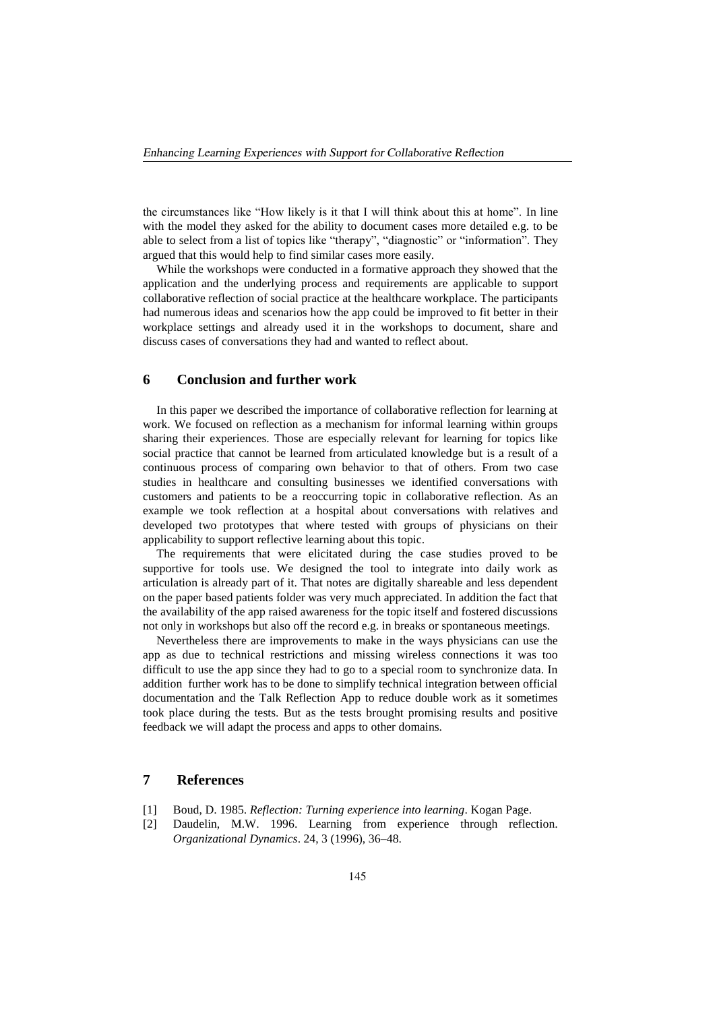the circumstances like "How likely is it that I will think about this at home". In line with the model they asked for the ability to document cases more detailed e.g. to be able to select from a list of topics like "therapy", "diagnostic" or "information". They argued that this would help to find similar cases more easily.

While the workshops were conducted in a formative approach they showed that the application and the underlying process and requirements are applicable to support collaborative reflection of social practice at the healthcare workplace. The participants had numerous ideas and scenarios how the app could be improved to fit better in their workplace settings and already used it in the workshops to document, share and discuss cases of conversations they had and wanted to reflect about.

## **6 Conclusion and further work**

In this paper we described the importance of collaborative reflection for learning at work. We focused on reflection as a mechanism for informal learning within groups sharing their experiences. Those are especially relevant for learning for topics like social practice that cannot be learned from articulated knowledge but is a result of a continuous process of comparing own behavior to that of others. From two case studies in healthcare and consulting businesses we identified conversations with customers and patients to be a reoccurring topic in collaborative reflection. As an example we took reflection at a hospital about conversations with relatives and developed two prototypes that where tested with groups of physicians on their applicability to support reflective learning about this topic.

The requirements that were elicitated during the case studies proved to be supportive for tools use. We designed the tool to integrate into daily work as articulation is already part of it. That notes are digitally shareable and less dependent on the paper based patients folder was very much appreciated. In addition the fact that the availability of the app raised awareness for the topic itself and fostered discussions not only in workshops but also off the record e.g. in breaks or spontaneous meetings.

Nevertheless there are improvements to make in the ways physicians can use the app as due to technical restrictions and missing wireless connections it was too difficult to use the app since they had to go to a special room to synchronize data. In addition further work has to be done to simplify technical integration between official documentation and the Talk Reflection App to reduce double work as it sometimes took place during the tests. But as the tests brought promising results and positive feedback we will adapt the process and apps to other domains.

## **7 References**

- [1] Boud, D. 1985. *Reflection: Turning experience into learning*. Kogan Page.
- [2] Daudelin, M.W. 1996. Learning from experience through reflection. *Organizational Dynamics*. 24, 3 (1996), 36–48.